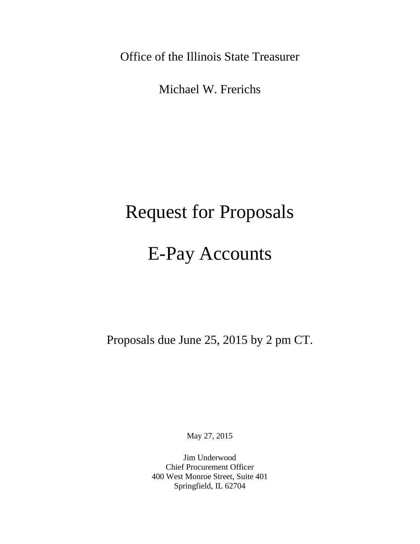Office of the Illinois State Treasurer

Michael W. Frerichs

# Request for Proposals

# E-Pay Accounts

Proposals due June 25, 2015 by 2 pm CT.

May 27, 2015

Jim Underwood Chief Procurement Officer 400 West Monroe Street, Suite 401 Springfield, IL 62704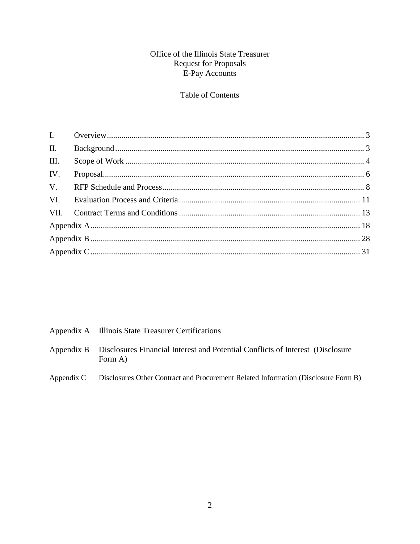## Office of the Illinois State Treasurer Request for Proposals<br>E-Pay Accounts

## Table of Contents

| Appendix A Illinois State Treasurer Certifications                                                   |
|------------------------------------------------------------------------------------------------------|
| Appendix B Disclosures Financial Interest and Potential Conflicts of Interest (Disclosure<br>Form A) |
| Appendix C Disclosures Other Contract and Procurement Related Information (Disclosure Form B)        |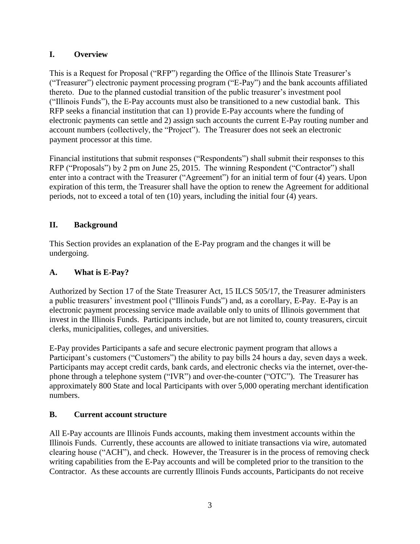## <span id="page-2-0"></span>**I. Overview**

This is a Request for Proposal ("RFP") regarding the Office of the Illinois State Treasurer's ("Treasurer") electronic payment processing program ("E-Pay") and the bank accounts affiliated thereto. Due to the planned custodial transition of the public treasurer's investment pool ("Illinois Funds"), the E-Pay accounts must also be transitioned to a new custodial bank. This RFP seeks a financial institution that can 1) provide E-Pay accounts where the funding of electronic payments can settle and 2) assign such accounts the current E-Pay routing number and account numbers (collectively, the "Project"). The Treasurer does not seek an electronic payment processor at this time.

Financial institutions that submit responses ("Respondents") shall submit their responses to this RFP ("Proposals") by 2 pm on June 25, 2015. The winning Respondent ("Contractor") shall enter into a contract with the Treasurer ("Agreement") for an initial term of four (4) years. Upon expiration of this term, the Treasurer shall have the option to renew the Agreement for additional periods, not to exceed a total of ten (10) years, including the initial four (4) years.

## <span id="page-2-1"></span>**II. Background**

This Section provides an explanation of the E-Pay program and the changes it will be undergoing.

## **A. What is E-Pay?**

Authorized by Section 17 of the State Treasurer Act, 15 ILCS 505/17, the Treasurer administers a public treasurers' investment pool ("Illinois Funds") and, as a corollary, E-Pay. E-Pay is an electronic payment processing service made available only to units of Illinois government that invest in the Illinois Funds. Participants include, but are not limited to, county treasurers, circuit clerks, municipalities, colleges, and universities.

E-Pay provides Participants a safe and secure electronic payment program that allows a Participant's customers ("Customers") the ability to pay bills 24 hours a day, seven days a week. Participants may accept credit cards, bank cards, and electronic checks via the internet, over-thephone through a telephone system ("IVR") and over-the-counter ("OTC"). The Treasurer has approximately 800 State and local Participants with over 5,000 operating merchant identification numbers.

## **B. Current account structure**

All E-Pay accounts are Illinois Funds accounts, making them investment accounts within the Illinois Funds. Currently, these accounts are allowed to initiate transactions via wire, automated clearing house ("ACH"), and check. However, the Treasurer is in the process of removing check writing capabilities from the E-Pay accounts and will be completed prior to the transition to the Contractor. As these accounts are currently Illinois Funds accounts, Participants do not receive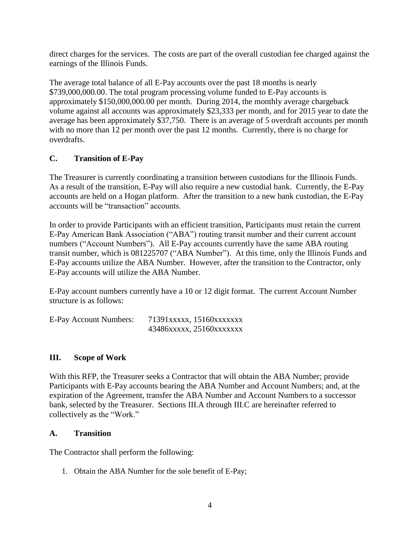direct charges for the services. The costs are part of the overall custodian fee charged against the earnings of the Illinois Funds.

The average total balance of all E-Pay accounts over the past 18 months is nearly \$739,000,000.00. The total program processing volume funded to E-Pay accounts is approximately \$150,000,000.00 per month. During 2014, the monthly average chargeback volume against all accounts was approximately \$23,333 per month, and for 2015 year to date the average has been approximately \$37,750. There is an average of 5 overdraft accounts per month with no more than 12 per month over the past 12 months. Currently, there is no charge for overdrafts.

## **C. Transition of E-Pay**

The Treasurer is currently coordinating a transition between custodians for the Illinois Funds. As a result of the transition, E-Pay will also require a new custodial bank. Currently, the E-Pay accounts are held on a Hogan platform. After the transition to a new bank custodian, the E-Pay accounts will be "transaction" accounts.

In order to provide Participants with an efficient transition, Participants must retain the current E-Pay American Bank Association ("ABA") routing transit number and their current account numbers ("Account Numbers"). All E-Pay accounts currently have the same ABA routing transit number, which is 081225707 ("ABA Number"). At this time, only the Illinois Funds and E-Pay accounts utilize the ABA Number. However, after the transition to the Contractor, only E-Pay accounts will utilize the ABA Number.

E-Pay account numbers currently have a 10 or 12 digit format. The current Account Number structure is as follows:

| E-Pay Account Numbers: | 71391xxxxx, 15160xxxxxxx |
|------------------------|--------------------------|
|                        | 43486xxxxx, 25160xxxxxxx |

#### <span id="page-3-0"></span>**III. Scope of Work**

With this RFP, the Treasurer seeks a Contractor that will obtain the ABA Number; provide Participants with E-Pay accounts bearing the ABA Number and Account Numbers; and, at the expiration of the Agreement, transfer the ABA Number and Account Numbers to a successor bank, selected by the Treasurer. Sections III.A through III.C are hereinafter referred to collectively as the "Work."

#### **A. Transition**

The Contractor shall perform the following:

1. Obtain the ABA Number for the sole benefit of E-Pay;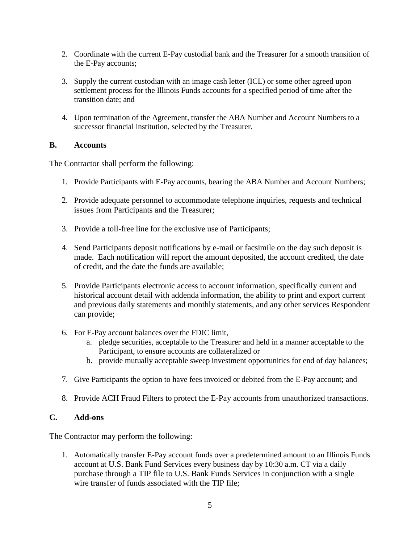- 2. Coordinate with the current E-Pay custodial bank and the Treasurer for a smooth transition of the E-Pay accounts;
- 3. Supply the current custodian with an image cash letter (ICL) or some other agreed upon settlement process for the Illinois Funds accounts for a specified period of time after the transition date; and
- 4. Upon termination of the Agreement, transfer the ABA Number and Account Numbers to a successor financial institution, selected by the Treasurer.

#### **B. Accounts**

The Contractor shall perform the following:

- 1. Provide Participants with E-Pay accounts, bearing the ABA Number and Account Numbers;
- 2. Provide adequate personnel to accommodate telephone inquiries, requests and technical issues from Participants and the Treasurer;
- 3. Provide a toll-free line for the exclusive use of Participants;
- 4. Send Participants deposit notifications by e-mail or facsimile on the day such deposit is made. Each notification will report the amount deposited, the account credited, the date of credit, and the date the funds are available;
- 5. Provide Participants electronic access to account information, specifically current and historical account detail with addenda information, the ability to print and export current and previous daily statements and monthly statements, and any other services Respondent can provide;
- 6. For E-Pay account balances over the FDIC limit,
	- a. pledge securities, acceptable to the Treasurer and held in a manner acceptable to the Participant, to ensure accounts are collateralized or
	- b. provide mutually acceptable sweep investment opportunities for end of day balances;
- 7. Give Participants the option to have fees invoiced or debited from the E-Pay account; and
- 8. Provide ACH Fraud Filters to protect the E-Pay accounts from unauthorized transactions.

## **C. Add-ons**

The Contractor may perform the following:

1. Automatically transfer E-Pay account funds over a predetermined amount to an Illinois Funds account at U.S. Bank Fund Services every business day by 10:30 a.m. CT via a daily purchase through a TIP file to U.S. Bank Funds Services in conjunction with a single wire transfer of funds associated with the TIP file;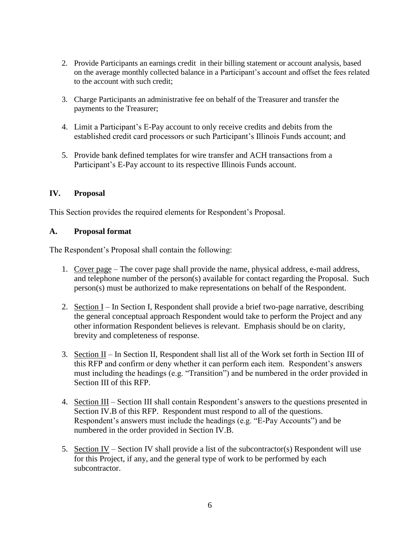- 2. Provide Participants an earnings credit in their billing statement or account analysis, based on the average monthly collected balance in a Participant's account and offset the fees related to the account with such credit;
- 3. Charge Participants an administrative fee on behalf of the Treasurer and transfer the payments to the Treasurer;
- 4. Limit a Participant's E-Pay account to only receive credits and debits from the established credit card processors or such Participant's Illinois Funds account; and
- 5. Provide bank defined templates for wire transfer and ACH transactions from a Participant's E-Pay account to its respective Illinois Funds account.

## <span id="page-5-0"></span>**IV. Proposal**

This Section provides the required elements for Respondent's Proposal.

#### **A. Proposal format**

The Respondent's Proposal shall contain the following:

- 1. Cover page The cover page shall provide the name, physical address, e-mail address, and telephone number of the person(s) available for contact regarding the Proposal. Such person(s) must be authorized to make representations on behalf of the Respondent.
- 2. Section I In Section I, Respondent shall provide a brief two-page narrative, describing the general conceptual approach Respondent would take to perform the Project and any other information Respondent believes is relevant. Emphasis should be on clarity, brevity and completeness of response.
- 3. Section  $II$  In Section II, Respondent shall list all of the Work set forth in Section III of this RFP and confirm or deny whether it can perform each item. Respondent's answers must including the headings (e.g. "Transition") and be numbered in the order provided in Section III of this RFP.
- 4. Section III Section III shall contain Respondent's answers to the questions presented in Section IV.B of this RFP. Respondent must respond to all of the questions. Respondent's answers must include the headings (e.g. "E-Pay Accounts") and be numbered in the order provided in Section IV.B.
- 5. Section IV Section IV shall provide a list of the subcontractor(s) Respondent will use for this Project, if any, and the general type of work to be performed by each subcontractor.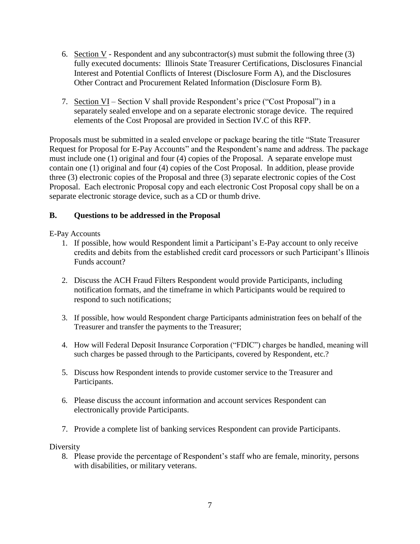- 6. Section V Respondent and any subcontractor(s) must submit the following three  $(3)$ fully executed documents: Illinois State Treasurer Certifications, Disclosures Financial Interest and Potential Conflicts of Interest (Disclosure Form A), and the Disclosures Other Contract and Procurement Related Information (Disclosure Form B).
- 7. Section VI Section V shall provide Respondent's price ("Cost Proposal") in a separately sealed envelope and on a separate electronic storage device. The required elements of the Cost Proposal are provided in Section IV.C of this RFP.

Proposals must be submitted in a sealed envelope or package bearing the title "State Treasurer Request for Proposal for E-Pay Accounts" and the Respondent's name and address. The package must include one (1) original and four (4) copies of the Proposal. A separate envelope must contain one (1) original and four (4) copies of the Cost Proposal. In addition, please provide three (3) electronic copies of the Proposal and three (3) separate electronic copies of the Cost Proposal. Each electronic Proposal copy and each electronic Cost Proposal copy shall be on a separate electronic storage device, such as a CD or thumb drive.

## **B. Questions to be addressed in the Proposal**

E-Pay Accounts

- 1. If possible, how would Respondent limit a Participant's E-Pay account to only receive credits and debits from the established credit card processors or such Participant's Illinois Funds account?
- 2. Discuss the ACH Fraud Filters Respondent would provide Participants, including notification formats, and the timeframe in which Participants would be required to respond to such notifications;
- 3. If possible, how would Respondent charge Participants administration fees on behalf of the Treasurer and transfer the payments to the Treasurer;
- 4. How will Federal Deposit Insurance Corporation ("FDIC") charges be handled, meaning will such charges be passed through to the Participants, covered by Respondent, etc.?
- 5. Discuss how Respondent intends to provide customer service to the Treasurer and Participants.
- 6. Please discuss the account information and account services Respondent can electronically provide Participants.
- 7. Provide a complete list of banking services Respondent can provide Participants.

Diversity

8. Please provide the percentage of Respondent's staff who are female, minority, persons with disabilities, or military veterans.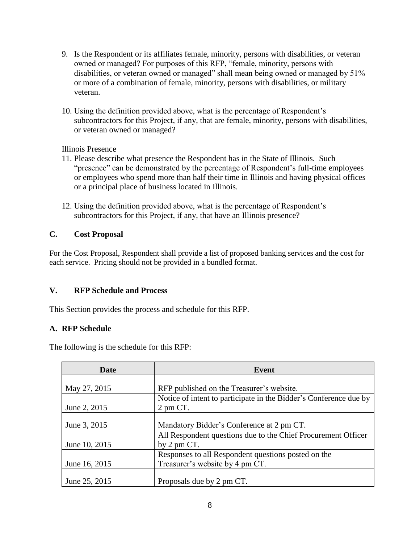- 9. Is the Respondent or its affiliates female, minority, persons with disabilities, or veteran owned or managed? For purposes of this RFP, "female, minority, persons with disabilities, or veteran owned or managed" shall mean being owned or managed by 51% or more of a combination of female, minority, persons with disabilities, or military veteran.
- 10. Using the definition provided above, what is the percentage of Respondent's subcontractors for this Project, if any, that are female, minority, persons with disabilities, or veteran owned or managed?

Illinois Presence

- 11. Please describe what presence the Respondent has in the State of Illinois. Such "presence" can be demonstrated by the percentage of Respondent's full-time employees or employees who spend more than half their time in Illinois and having physical offices or a principal place of business located in Illinois.
- 12. Using the definition provided above, what is the percentage of Respondent's subcontractors for this Project, if any, that have an Illinois presence?

## **C. Cost Proposal**

For the Cost Proposal, Respondent shall provide a list of proposed banking services and the cost for each service. Pricing should not be provided in a bundled format.

## <span id="page-7-0"></span>**V. RFP Schedule and Process**

This Section provides the process and schedule for this RFP.

## **A. RFP Schedule**

The following is the schedule for this RFP:

| Date          | Event                                                             |  |
|---------------|-------------------------------------------------------------------|--|
|               |                                                                   |  |
| May 27, 2015  | RFP published on the Treasurer's website.                         |  |
|               | Notice of intent to participate in the Bidder's Conference due by |  |
| June 2, 2015  | 2 pm CT.                                                          |  |
|               |                                                                   |  |
| June 3, 2015  | Mandatory Bidder's Conference at 2 pm CT.                         |  |
|               | All Respondent questions due to the Chief Procurement Officer     |  |
| June 10, 2015 | by $2 \text{ pm } CT$ .                                           |  |
|               | Responses to all Respondent questions posted on the               |  |
| June 16, 2015 | Treasurer's website by 4 pm CT.                                   |  |
|               |                                                                   |  |
| June 25, 2015 | Proposals due by 2 pm CT.                                         |  |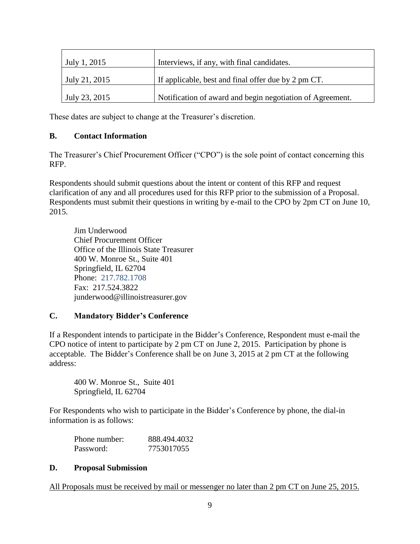| July 1, 2015             | Interviews, if any, with final candidates.                |
|--------------------------|-----------------------------------------------------------|
| July 21, 2015            | If applicable, best and final offer due by 2 pm CT.       |
| $^{\circ}$ July 23, 2015 | Notification of award and begin negotiation of Agreement. |

These dates are subject to change at the Treasurer's discretion.

#### **B. Contact Information**

The Treasurer's Chief Procurement Officer ("CPO") is the sole point of contact concerning this RFP.

Respondents should submit questions about the intent or content of this RFP and request clarification of any and all procedures used for this RFP prior to the submission of a Proposal. Respondents must submit their questions in writing by e-mail to the CPO by 2pm CT on June 10, 2015.

Jim Underwood Chief Procurement Officer Office of the Illinois State Treasurer 400 W. Monroe St., Suite 401 Springfield, IL 62704 Phone: 217.782.1708 Fax: 217.524.3822 junderwood@illinoistreasurer.gov

## **C. Mandatory Bidder's Conference**

If a Respondent intends to participate in the Bidder's Conference, Respondent must e-mail the CPO notice of intent to participate by 2 pm CT on June 2, 2015. Participation by phone is acceptable. The Bidder's Conference shall be on June 3, 2015 at 2 pm CT at the following address:

400 W. Monroe St., Suite 401 Springfield, IL 62704

For Respondents who wish to participate in the Bidder's Conference by phone, the dial-in information is as follows:

| Phone number: | 888.494.4032 |
|---------------|--------------|
| Password:     | 7753017055   |

#### **D. Proposal Submission**

All Proposals must be received by mail or messenger no later than 2 pm CT on June 25, 2015.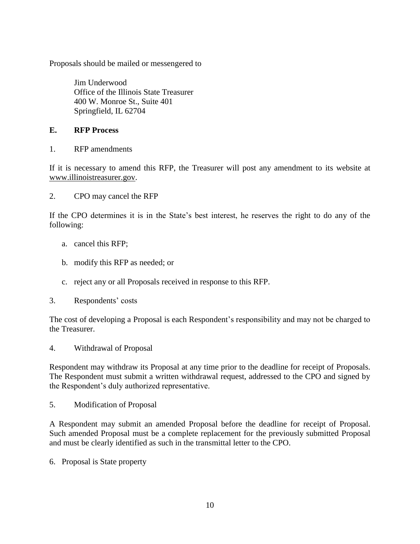Proposals should be mailed or messengered to

Jim Underwood Office of the Illinois State Treasurer 400 W. Monroe St., Suite 401 Springfield, IL 62704

#### **E. RFP Process**

1. RFP amendments

If it is necessary to amend this RFP, the Treasurer will post any amendment to its website at www.illinoistreasurer.gov.

2. CPO may cancel the RFP

If the CPO determines it is in the State's best interest, he reserves the right to do any of the following:

- a. cancel this RFP;
- b. modify this RFP as needed; or
- c. reject any or all Proposals received in response to this RFP.
- 3. Respondents' costs

The cost of developing a Proposal is each Respondent's responsibility and may not be charged to the Treasurer.

4. Withdrawal of Proposal

Respondent may withdraw its Proposal at any time prior to the deadline for receipt of Proposals. The Respondent must submit a written withdrawal request, addressed to the CPO and signed by the Respondent's duly authorized representative.

5. Modification of Proposal

A Respondent may submit an amended Proposal before the deadline for receipt of Proposal. Such amended Proposal must be a complete replacement for the previously submitted Proposal and must be clearly identified as such in the transmittal letter to the CPO.

6.Proposal is State property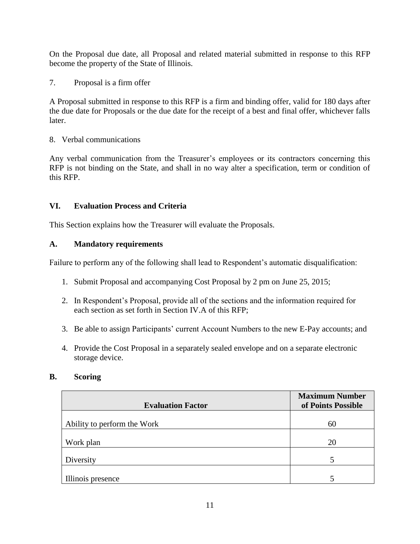On the Proposal due date, all Proposal and related material submitted in response to this RFP become the property of the State of Illinois.

7. Proposal is a firm offer

A Proposal submitted in response to this RFP is a firm and binding offer, valid for 180 days after the due date for Proposals or the due date for the receipt of a best and final offer, whichever falls later.

8. Verbal communications

Any verbal communication from the Treasurer's employees or its contractors concerning this RFP is not binding on the State, and shall in no way alter a specification, term or condition of this RFP.

## <span id="page-10-0"></span>**VI. Evaluation Process and Criteria**

This Section explains how the Treasurer will evaluate the Proposals.

#### **A. Mandatory requirements**

Failure to perform any of the following shall lead to Respondent's automatic disqualification:

- 1. Submit Proposal and accompanying Cost Proposal by 2 pm on June 25, 2015;
- 2. In Respondent's Proposal, provide all of the sections and the information required for each section as set forth in Section IV.A of this RFP;
- 3. Be able to assign Participants' current Account Numbers to the new E-Pay accounts; and
- 4. Provide the Cost Proposal in a separately sealed envelope and on a separate electronic storage device.

#### **B. Scoring**

| <b>Evaluation Factor</b>    | <b>Maximum Number</b><br>of Points Possible |
|-----------------------------|---------------------------------------------|
|                             |                                             |
| Ability to perform the Work | 60                                          |
| Work plan                   | 20                                          |
| Diversity                   | 5                                           |
| Illinois presence           |                                             |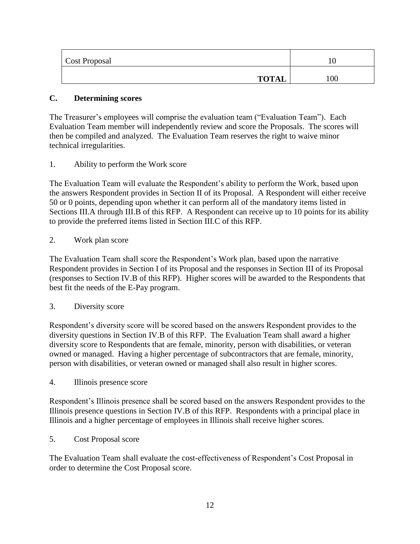| Cost Proposal |     |
|---------------|-----|
| <b>TOTAL</b>  | 100 |

### **C. Determining scores**

The Treasurer's employees will comprise the evaluation team ("Evaluation Team"). Each Evaluation Team member will independently review and score the Proposals. The scores will then be compiled and analyzed. The Evaluation Team reserves the right to waive minor technical irregularities.

1. Ability to perform the Work score

The Evaluation Team will evaluate the Respondent's ability to perform the Work, based upon the answers Respondent provides in Section II of its Proposal. A Respondent will either receive 50 or 0 points, depending upon whether it can perform all of the mandatory items listed in Sections III.A through III.B of this RFP. A Respondent can receive up to 10 points for its ability to provide the preferred items listed in Section III.C of this RFP.

2. Work plan score

The Evaluation Team shall score the Respondent's Work plan, based upon the narrative Respondent provides in Section I of its Proposal and the responses in Section III of its Proposal (responses to Section IV.B of this RFP). Higher scores will be awarded to the Respondents that best fit the needs of the E-Pay program.

#### 3. Diversity score

Respondent's diversity score will be scored based on the answers Respondent provides to the diversity questions in Section IV.B of this RFP. The Evaluation Team shall award a higher diversity score to Respondents that are female, minority, person with disabilities, or veteran owned or managed. Having a higher percentage of subcontractors that are female, minority, person with disabilities, or veteran owned or managed shall also result in higher scores.

4. Illinois presence score

Respondent's Illinois presence shall be scored based on the answers Respondent provides to the Illinois presence questions in Section IV.B of this RFP. Respondents with a principal place in Illinois and a higher percentage of employees in Illinois shall receive higher scores.

5. Cost Proposal score

The Evaluation Team shall evaluate the cost-effectiveness of Respondent's Cost Proposal in order to determine the Cost Proposal score.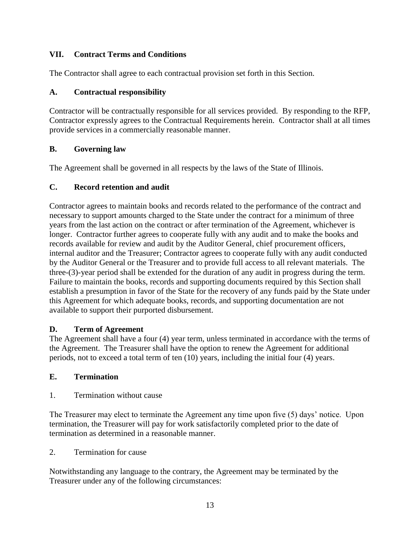## <span id="page-12-0"></span>**VII. Contract Terms and Conditions**

The Contractor shall agree to each contractual provision set forth in this Section.

## **A. Contractual responsibility**

Contractor will be contractually responsible for all services provided. By responding to the RFP, Contractor expressly agrees to the Contractual Requirements herein. Contractor shall at all times provide services in a commercially reasonable manner.

## **B. Governing law**

The Agreement shall be governed in all respects by the laws of the State of Illinois.

## **C. Record retention and audit**

Contractor agrees to maintain books and records related to the performance of the contract and necessary to support amounts charged to the State under the contract for a minimum of three years from the last action on the contract or after termination of the Agreement, whichever is longer. Contractor further agrees to cooperate fully with any audit and to make the books and records available for review and audit by the Auditor General, chief procurement officers, internal auditor and the Treasurer; Contractor agrees to cooperate fully with any audit conducted by the Auditor General or the Treasurer and to provide full access to all relevant materials. The three-(3)-year period shall be extended for the duration of any audit in progress during the term. Failure to maintain the books, records and supporting documents required by this Section shall establish a presumption in favor of the State for the recovery of any funds paid by the State under this Agreement for which adequate books, records, and supporting documentation are not available to support their purported disbursement.

## **D. Term of Agreement**

The Agreement shall have a four (4) year term, unless terminated in accordance with the terms of the Agreement. The Treasurer shall have the option to renew the Agreement for additional periods, not to exceed a total term of ten (10) years, including the initial four (4) years.

## **E. Termination**

1. Termination without cause

The Treasurer may elect to terminate the Agreement any time upon five (5) days' notice. Upon termination, the Treasurer will pay for work satisfactorily completed prior to the date of termination as determined in a reasonable manner.

2. Termination for cause

Notwithstanding any language to the contrary, the Agreement may be terminated by the Treasurer under any of the following circumstances: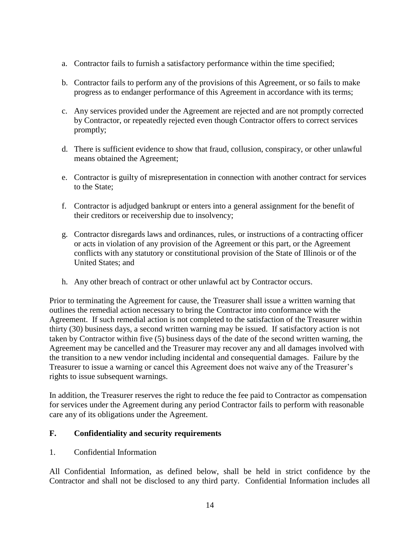- a. Contractor fails to furnish a satisfactory performance within the time specified;
- b. Contractor fails to perform any of the provisions of this Agreement, or so fails to make progress as to endanger performance of this Agreement in accordance with its terms;
- c. Any services provided under the Agreement are rejected and are not promptly corrected by Contractor, or repeatedly rejected even though Contractor offers to correct services promptly;
- d. There is sufficient evidence to show that fraud, collusion, conspiracy, or other unlawful means obtained the Agreement;
- e. Contractor is guilty of misrepresentation in connection with another contract for services to the State;
- f. Contractor is adjudged bankrupt or enters into a general assignment for the benefit of their creditors or receivership due to insolvency;
- g. Contractor disregards laws and ordinances, rules, or instructions of a contracting officer or acts in violation of any provision of the Agreement or this part, or the Agreement conflicts with any statutory or constitutional provision of the State of Illinois or of the United States; and
- h. Any other breach of contract or other unlawful act by Contractor occurs.

Prior to terminating the Agreement for cause, the Treasurer shall issue a written warning that outlines the remedial action necessary to bring the Contractor into conformance with the Agreement. If such remedial action is not completed to the satisfaction of the Treasurer within thirty (30) business days, a second written warning may be issued. If satisfactory action is not taken by Contractor within five (5) business days of the date of the second written warning, the Agreement may be cancelled and the Treasurer may recover any and all damages involved with the transition to a new vendor including incidental and consequential damages. Failure by the Treasurer to issue a warning or cancel this Agreement does not waive any of the Treasurer's rights to issue subsequent warnings.

In addition, the Treasurer reserves the right to reduce the fee paid to Contractor as compensation for services under the Agreement during any period Contractor fails to perform with reasonable care any of its obligations under the Agreement.

#### **F. Confidentiality and security requirements**

1. Confidential Information

All Confidential Information, as defined below, shall be held in strict confidence by the Contractor and shall not be disclosed to any third party. Confidential Information includes all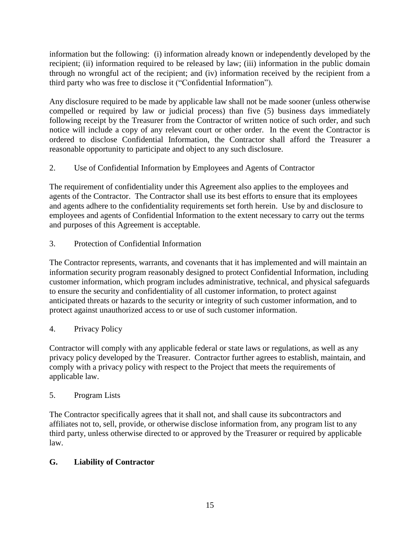information but the following: (i) information already known or independently developed by the recipient; (ii) information required to be released by law; (iii) information in the public domain through no wrongful act of the recipient; and (iv) information received by the recipient from a third party who was free to disclose it ("Confidential Information").

Any disclosure required to be made by applicable law shall not be made sooner (unless otherwise compelled or required by law or judicial process) than five (5) business days immediately following receipt by the Treasurer from the Contractor of written notice of such order, and such notice will include a copy of any relevant court or other order. In the event the Contractor is ordered to disclose Confidential Information, the Contractor shall afford the Treasurer a reasonable opportunity to participate and object to any such disclosure.

2. Use of Confidential Information by Employees and Agents of Contractor

The requirement of confidentiality under this Agreement also applies to the employees and agents of the Contractor. The Contractor shall use its best efforts to ensure that its employees and agents adhere to the confidentiality requirements set forth herein. Use by and disclosure to employees and agents of Confidential Information to the extent necessary to carry out the terms and purposes of this Agreement is acceptable.

3. Protection of Confidential Information

The Contractor represents, warrants, and covenants that it has implemented and will maintain an information security program reasonably designed to protect Confidential Information, including customer information, which program includes administrative, technical, and physical safeguards to ensure the security and confidentiality of all customer information, to protect against anticipated threats or hazards to the security or integrity of such customer information, and to protect against unauthorized access to or use of such customer information.

## 4. Privacy Policy

Contractor will comply with any applicable federal or state laws or regulations, as well as any privacy policy developed by the Treasurer. Contractor further agrees to establish, maintain, and comply with a privacy policy with respect to the Project that meets the requirements of applicable law.

## 5. Program Lists

The Contractor specifically agrees that it shall not, and shall cause its subcontractors and affiliates not to, sell, provide, or otherwise disclose information from, any program list to any third party, unless otherwise directed to or approved by the Treasurer or required by applicable law.

## **G. Liability of Contractor**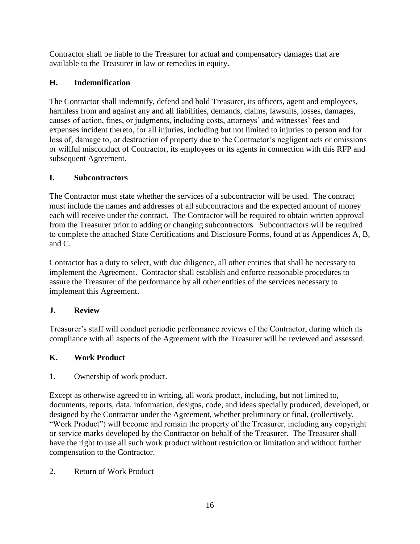Contractor shall be liable to the Treasurer for actual and compensatory damages that are available to the Treasurer in law or remedies in equity.

## **H. Indemnification**

The Contractor shall indemnify, defend and hold Treasurer, its officers, agent and employees, harmless from and against any and all liabilities, demands, claims, lawsuits, losses, damages, causes of action, fines, or judgments, including costs, attorneys' and witnesses' fees and expenses incident thereto, for all injuries, including but not limited to injuries to person and for loss of, damage to, or destruction of property due to the Contractor's negligent acts or omissions or willful misconduct of Contractor, its employees or its agents in connection with this RFP and subsequent Agreement.

## **I. Subcontractors**

The Contractor must state whether the services of a subcontractor will be used. The contract must include the names and addresses of all subcontractors and the expected amount of money each will receive under the contract. The Contractor will be required to obtain written approval from the Treasurer prior to adding or changing subcontractors. Subcontractors will be required to complete the attached State Certifications and Disclosure Forms, found at as Appendices A, B, and C.

Contractor has a duty to select, with due diligence, all other entities that shall be necessary to implement the Agreement. Contractor shall establish and enforce reasonable procedures to assure the Treasurer of the performance by all other entities of the services necessary to implement this Agreement.

## **J. Review**

Treasurer's staff will conduct periodic performance reviews of the Contractor, during which its compliance with all aspects of the Agreement with the Treasurer will be reviewed and assessed.

## **K. Work Product**

1. Ownership of work product.

Except as otherwise agreed to in writing, all work product, including, but not limited to, documents, reports, data, information, designs, code, and ideas specially produced, developed, or designed by the Contractor under the Agreement, whether preliminary or final, (collectively, "Work Product") will become and remain the property of the Treasurer, including any copyright or service marks developed by the Contractor on behalf of the Treasurer. The Treasurer shall have the right to use all such work product without restriction or limitation and without further compensation to the Contractor.

## 2. Return of Work Product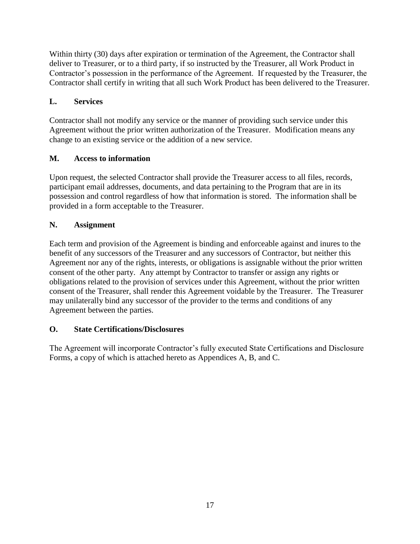Within thirty (30) days after expiration or termination of the Agreement, the Contractor shall deliver to Treasurer, or to a third party, if so instructed by the Treasurer, all Work Product in Contractor's possession in the performance of the Agreement. If requested by the Treasurer, the Contractor shall certify in writing that all such Work Product has been delivered to the Treasurer.

## **L. Services**

Contractor shall not modify any service or the manner of providing such service under this Agreement without the prior written authorization of the Treasurer. Modification means any change to an existing service or the addition of a new service.

## **M. Access to information**

Upon request, the selected Contractor shall provide the Treasurer access to all files, records, participant email addresses, documents, and data pertaining to the Program that are in its possession and control regardless of how that information is stored. The information shall be provided in a form acceptable to the Treasurer.

## **N. Assignment**

Each term and provision of the Agreement is binding and enforceable against and inures to the benefit of any successors of the Treasurer and any successors of Contractor, but neither this Agreement nor any of the rights, interests, or obligations is assignable without the prior written consent of the other party. Any attempt by Contractor to transfer or assign any rights or obligations related to the provision of services under this Agreement, without the prior written consent of the Treasurer, shall render this Agreement voidable by the Treasurer. The Treasurer may unilaterally bind any successor of the provider to the terms and conditions of any Agreement between the parties.

## **O. State Certifications/Disclosures**

The Agreement will incorporate Contractor's fully executed State Certifications and Disclosure Forms, a copy of which is attached hereto as Appendices A, B, and C.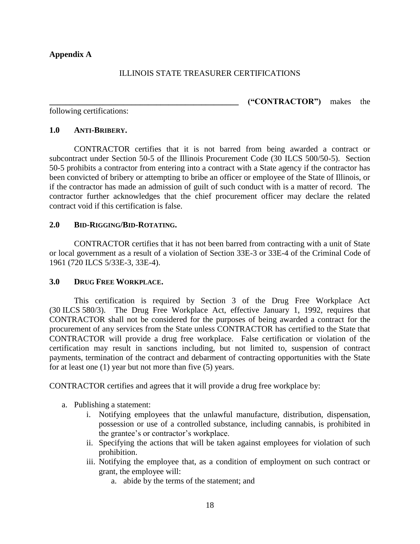#### <span id="page-17-0"></span>**Appendix A**

#### ILLINOIS STATE TREASURER CERTIFICATIONS

following certifications:

## **\_\_\_\_\_\_\_\_\_\_\_\_\_\_\_\_\_\_\_\_\_\_\_\_\_\_\_\_\_\_\_\_\_\_\_\_\_\_\_\_\_\_\_\_\_\_ ("CONTRACTOR")** makes the

#### **1.0 ANTI-BRIBERY.**

CONTRACTOR certifies that it is not barred from being awarded a contract or subcontract under Section 50-5 of the Illinois Procurement Code (30 ILCS 500/50-5). Section 50-5 prohibits a contractor from entering into a contract with a State agency if the contractor has been convicted of bribery or attempting to bribe an officer or employee of the State of Illinois, or if the contractor has made an admission of guilt of such conduct with is a matter of record. The contractor further acknowledges that the chief procurement officer may declare the related contract void if this certification is false.

#### **2.0 BID-RIGGING/BID-ROTATING.**

CONTRACTOR certifies that it has not been barred from contracting with a unit of State or local government as a result of a violation of Section 33E-3 or 33E-4 of the Criminal Code of 1961 (720 ILCS 5/33E-3, 33E-4).

#### **3.0 DRUG FREE WORKPLACE.**

This certification is required by Section 3 of the Drug Free Workplace Act (30 ILCS 580/3). The Drug Free Workplace Act, effective January 1, 1992, requires that CONTRACTOR shall not be considered for the purposes of being awarded a contract for the procurement of any services from the State unless CONTRACTOR has certified to the State that CONTRACTOR will provide a drug free workplace. False certification or violation of the certification may result in sanctions including, but not limited to, suspension of contract payments, termination of the contract and debarment of contracting opportunities with the State for at least one (1) year but not more than five (5) years.

CONTRACTOR certifies and agrees that it will provide a drug free workplace by:

- a. Publishing a statement:
	- i. Notifying employees that the unlawful manufacture, distribution, dispensation, possession or use of a controlled substance, including cannabis, is prohibited in the grantee's or contractor's workplace.
	- ii. Specifying the actions that will be taken against employees for violation of such prohibition.
	- iii. Notifying the employee that, as a condition of employment on such contract or grant, the employee will:
		- a. abide by the terms of the statement; and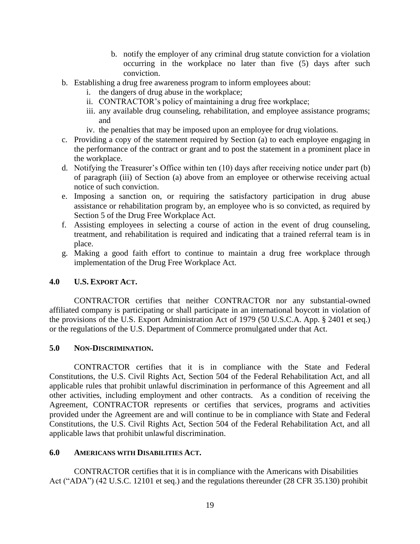- b. notify the employer of any criminal drug statute conviction for a violation occurring in the workplace no later than five (5) days after such conviction.
- b. Establishing a drug free awareness program to inform employees about:
	- i. the dangers of drug abuse in the workplace;
	- ii. CONTRACTOR's policy of maintaining a drug free workplace;
	- iii. any available drug counseling, rehabilitation, and employee assistance programs; and
	- iv. the penalties that may be imposed upon an employee for drug violations.
- c. Providing a copy of the statement required by Section (a) to each employee engaging in the performance of the contract or grant and to post the statement in a prominent place in the workplace.
- d. Notifying the Treasurer's Office within ten (10) days after receiving notice under part (b) of paragraph (iii) of Section (a) above from an employee or otherwise receiving actual notice of such conviction.
- e. Imposing a sanction on, or requiring the satisfactory participation in drug abuse assistance or rehabilitation program by, an employee who is so convicted, as required by Section 5 of the Drug Free Workplace Act.
- f. Assisting employees in selecting a course of action in the event of drug counseling, treatment, and rehabilitation is required and indicating that a trained referral team is in place.
- g. Making a good faith effort to continue to maintain a drug free workplace through implementation of the Drug Free Workplace Act.

#### **4.0 U.S. EXPORT ACT.**

CONTRACTOR certifies that neither CONTRACTOR nor any substantial-owned affiliated company is participating or shall participate in an international boycott in violation of the provisions of the U.S. Export Administration Act of 1979 (50 U.S.C.A. App. § 2401 et seq.) or the regulations of the U.S. Department of Commerce promulgated under that Act.

#### **5.0 NON-DISCRIMINATION.**

CONTRACTOR certifies that it is in compliance with the State and Federal Constitutions, the U.S. Civil Rights Act, Section 504 of the Federal Rehabilitation Act, and all applicable rules that prohibit unlawful discrimination in performance of this Agreement and all other activities, including employment and other contracts. As a condition of receiving the Agreement, CONTRACTOR represents or certifies that services, programs and activities provided under the Agreement are and will continue to be in compliance with State and Federal Constitutions, the U.S. Civil Rights Act, Section 504 of the Federal Rehabilitation Act, and all applicable laws that prohibit unlawful discrimination.

#### **6.0 AMERICANS WITH DISABILITIES ACT.**

CONTRACTOR certifies that it is in compliance with the Americans with Disabilities Act ("ADA") (42 U.S.C. 12101 et seq.) and the regulations thereunder (28 CFR 35.130) prohibit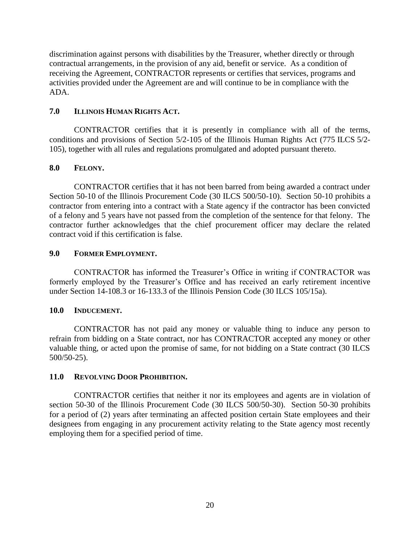discrimination against persons with disabilities by the Treasurer, whether directly or through contractual arrangements, in the provision of any aid, benefit or service. As a condition of receiving the Agreement, CONTRACTOR represents or certifies that services, programs and activities provided under the Agreement are and will continue to be in compliance with the ADA.

#### **7.0 ILLINOIS HUMAN RIGHTS ACT.**

CONTRACTOR certifies that it is presently in compliance with all of the terms, conditions and provisions of Section 5/2-105 of the Illinois Human Rights Act (775 ILCS 5/2- 105), together with all rules and regulations promulgated and adopted pursuant thereto.

#### **8.0 FELONY.**

CONTRACTOR certifies that it has not been barred from being awarded a contract under Section 50-10 of the Illinois Procurement Code (30 ILCS 500/50-10). Section 50-10 prohibits a contractor from entering into a contract with a State agency if the contractor has been convicted of a felony and 5 years have not passed from the completion of the sentence for that felony. The contractor further acknowledges that the chief procurement officer may declare the related contract void if this certification is false.

#### **9.0 FORMER EMPLOYMENT.**

CONTRACTOR has informed the Treasurer's Office in writing if CONTRACTOR was formerly employed by the Treasurer's Office and has received an early retirement incentive under Section 14-108.3 or 16-133.3 of the Illinois Pension Code (30 ILCS 105/15a).

#### **10.0 INDUCEMENT.**

CONTRACTOR has not paid any money or valuable thing to induce any person to refrain from bidding on a State contract, nor has CONTRACTOR accepted any money or other valuable thing, or acted upon the promise of same, for not bidding on a State contract (30 ILCS 500/50-25).

#### **11.0 REVOLVING DOOR PROHIBITION.**

CONTRACTOR certifies that neither it nor its employees and agents are in violation of section 50-30 of the Illinois Procurement Code (30 ILCS 500/50-30). Section 50-30 prohibits for a period of (2) years after terminating an affected position certain State employees and their designees from engaging in any procurement activity relating to the State agency most recently employing them for a specified period of time.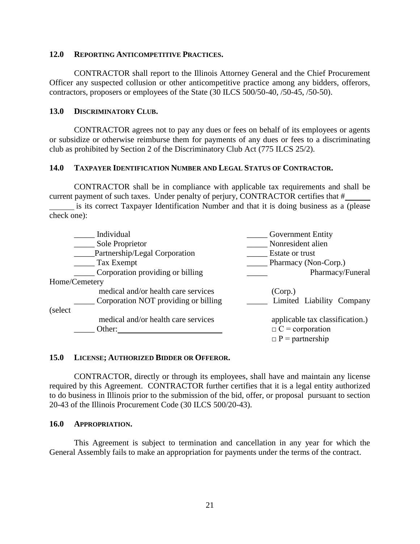#### **12.0 REPORTING ANTICOMPETITIVE PRACTICES.**

CONTRACTOR shall report to the Illinois Attorney General and the Chief Procurement Officer any suspected collusion or other anticompetitive practice among any bidders, offerors, contractors, proposers or employees of the State (30 ILCS 500/50-40, /50-45, /50-50).

#### **13.0 DISCRIMINATORY CLUB.**

CONTRACTOR agrees not to pay any dues or fees on behalf of its employees or agents or subsidize or otherwise reimburse them for payments of any dues or fees to a discriminating club as prohibited by Section 2 of the Discriminatory Club Act (775 ILCS 25/2).

#### **14.0 TAXPAYER IDENTIFICATION NUMBER AND LEGAL STATUS OF CONTRACTOR.**

CONTRACTOR shall be in compliance with applicable tax requirements and shall be current payment of such taxes. Under penalty of perjury, CONTRACTOR certifies that #

is its correct Taxpayer Identification Number and that it is doing business as a (please check one):

|               | Individual                           | <b>Government Entity</b>        |
|---------------|--------------------------------------|---------------------------------|
|               | Sole Proprietor                      | Nonresident alien               |
|               | Partnership/Legal Corporation        | Estate or trust                 |
|               | Tax Exempt                           | Pharmacy (Non-Corp.)            |
|               | Corporation providing or billing     | Pharmacy/Funeral                |
| Home/Cemetery |                                      |                                 |
|               | medical and/or health care services  | (Corp.)                         |
|               | Corporation NOT providing or billing | Limited Liability Company       |
| (select)      |                                      |                                 |
|               | medical and/or health care services  | applicable tax classification.) |
|               | Other:                               | $\Box$ C = corporation          |
|               |                                      | $\Box$ P = partnership          |

#### **15.0 LICENSE; AUTHORIZED BIDDER OR OFFEROR.**

CONTRACTOR, directly or through its employees, shall have and maintain any license required by this Agreement. CONTRACTOR further certifies that it is a legal entity authorized to do business in Illinois prior to the submission of the bid, offer, or proposal pursuant to section 20-43 of the Illinois Procurement Code (30 ILCS 500/20-43).

#### **16.0 APPROPRIATION.**

This Agreement is subject to termination and cancellation in any year for which the General Assembly fails to make an appropriation for payments under the terms of the contract.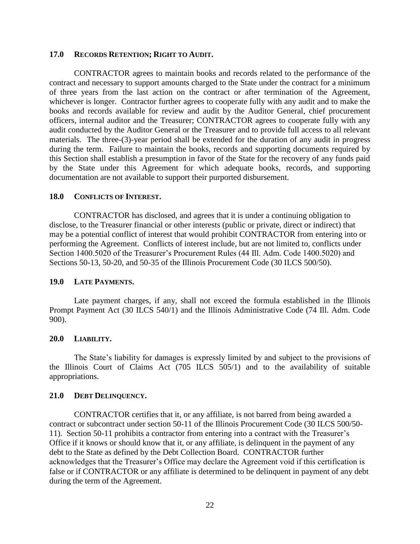#### **17.0 RECORDS RETENTION; RIGHT TO AUDIT.**

CONTRACTOR agrees to maintain books and records related to the performance of the contract and necessary to support amounts charged to the State under the contract for a minimum of three years from the last action on the contract or after termination of the Agreement, whichever is longer. Contractor further agrees to cooperate fully with any audit and to make the books and records available for review and audit by the Auditor General, chief procurement officers, internal auditor and the Treasurer; CONTRACTOR agrees to cooperate fully with any audit conducted by the Auditor General or the Treasurer and to provide full access to all relevant materials. The three-(3)-year period shall be extended for the duration of any audit in progress during the term. Failure to maintain the books, records and supporting documents required by this Section shall establish a presumption in favor of the State for the recovery of any funds paid by the State under this Agreement for which adequate books, records, and supporting documentation are not available to support their purported disbursement.

#### **18.0 CONFLICTS OF INTEREST.**

CONTRACTOR has disclosed, and agrees that it is under a continuing obligation to disclose, to the Treasurer financial or other interests (public or private, direct or indirect) that may be a potential conflict of interest that would prohibit CONTRACTOR from entering into or performing the Agreement. Conflicts of interest include, but are not limited to, conflicts under Section 1400.5020 of the Treasurer's Procurement Rules (44 Ill. Adm. Code 1400.5020) and Sections 50-13, 50-20, and 50-35 of the Illinois Procurement Code (30 ILCS 500/50).

#### **19.0 LATE PAYMENTS.**

Late payment charges, if any, shall not exceed the formula established in the Illinois Prompt Payment Act (30 ILCS 540/1) and the Illinois Administrative Code (74 Ill. Adm. Code 900).

#### **20.0 LIABILITY.**

The State's liability for damages is expressly limited by and subject to the provisions of the Illinois Court of Claims Act (705 ILCS 505/1) and to the availability of suitable appropriations.

#### **21.0 DEBT DELINQUENCY.**

CONTRACTOR certifies that it, or any affiliate, is not barred from being awarded a contract or subcontract under section 50-11 of the Illinois Procurement Code (30 ILCS 500/50- 11). Section 50-11 prohibits a contractor from entering into a contract with the Treasurer's Office if it knows or should know that it, or any affiliate, is delinquent in the payment of any debt to the State as defined by the Debt Collection Board. CONTRACTOR further acknowledges that the Treasurer's Office may declare the Agreement void if this certification is false or if CONTRACTOR or any affiliate is determined to be delinquent in payment of any debt during the term of the Agreement.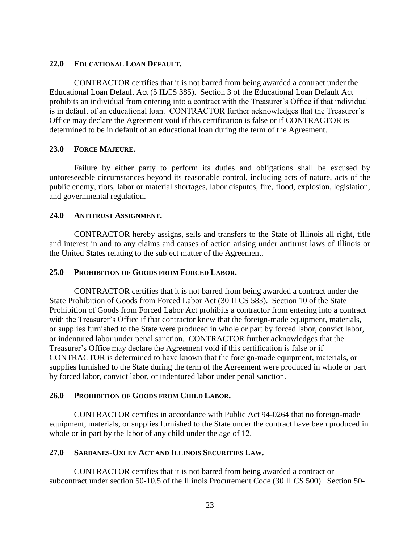#### **22.0 EDUCATIONAL LOAN DEFAULT.**

CONTRACTOR certifies that it is not barred from being awarded a contract under the Educational Loan Default Act (5 ILCS 385). Section 3 of the Educational Loan Default Act prohibits an individual from entering into a contract with the Treasurer's Office if that individual is in default of an educational loan. CONTRACTOR further acknowledges that the Treasurer's Office may declare the Agreement void if this certification is false or if CONTRACTOR is determined to be in default of an educational loan during the term of the Agreement.

#### **23.0 FORCE MAJEURE.**

Failure by either party to perform its duties and obligations shall be excused by unforeseeable circumstances beyond its reasonable control, including acts of nature, acts of the public enemy, riots, labor or material shortages, labor disputes, fire, flood, explosion, legislation, and governmental regulation.

#### **24.0 ANTITRUST ASSIGNMENT.**

CONTRACTOR hereby assigns, sells and transfers to the State of Illinois all right, title and interest in and to any claims and causes of action arising under antitrust laws of Illinois or the United States relating to the subject matter of the Agreement.

#### **25.0 PROHIBITION OF GOODS FROM FORCED LABOR.**

CONTRACTOR certifies that it is not barred from being awarded a contract under the State Prohibition of Goods from Forced Labor Act (30 ILCS 583). Section 10 of the State Prohibition of Goods from Forced Labor Act prohibits a contractor from entering into a contract with the Treasurer's Office if that contractor knew that the foreign-made equipment, materials, or supplies furnished to the State were produced in whole or part by forced labor, convict labor, or indentured labor under penal sanction. CONTRACTOR further acknowledges that the Treasurer's Office may declare the Agreement void if this certification is false or if CONTRACTOR is determined to have known that the foreign-made equipment, materials, or supplies furnished to the State during the term of the Agreement were produced in whole or part by forced labor, convict labor, or indentured labor under penal sanction.

#### **26.0 PROHIBITION OF GOODS FROM CHILD LABOR.**

CONTRACTOR certifies in accordance with Public Act 94-0264 that no foreign-made equipment, materials, or supplies furnished to the State under the contract have been produced in whole or in part by the labor of any child under the age of 12.

#### **27.0 SARBANES-OXLEY ACT AND ILLINOIS SECURITIES LAW.**

CONTRACTOR certifies that it is not barred from being awarded a contract or subcontract under section 50-10.5 of the Illinois Procurement Code (30 ILCS 500). Section 50-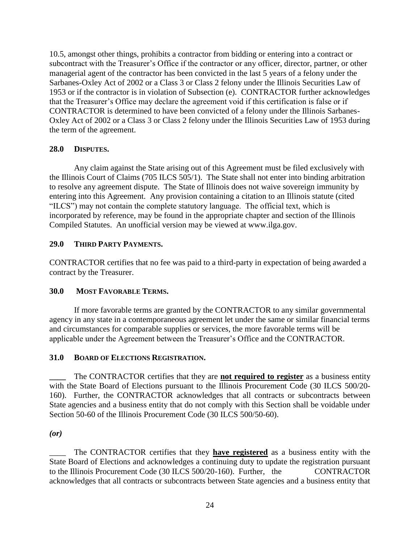10.5, amongst other things, prohibits a contractor from bidding or entering into a contract or subcontract with the Treasurer's Office if the contractor or any officer, director, partner, or other managerial agent of the contractor has been convicted in the last 5 years of a felony under the Sarbanes-Oxley Act of 2002 or a Class 3 or Class 2 felony under the Illinois Securities Law of 1953 or if the contractor is in violation of Subsection (e). CONTRACTOR further acknowledges that the Treasurer's Office may declare the agreement void if this certification is false or if CONTRACTOR is determined to have been convicted of a felony under the Illinois Sarbanes-Oxley Act of 2002 or a Class 3 or Class 2 felony under the Illinois Securities Law of 1953 during the term of the agreement.

#### **28.0 DISPUTES.**

Any claim against the State arising out of this Agreement must be filed exclusively with the Illinois Court of Claims (705 ILCS 505/1). The State shall not enter into binding arbitration to resolve any agreement dispute. The State of Illinois does not waive sovereign immunity by entering into this Agreement. Any provision containing a citation to an Illinois statute (cited "ILCS") may not contain the complete statutory language. The official text, which is incorporated by reference, may be found in the appropriate chapter and section of the Illinois Compiled Statutes. An unofficial version may be viewed at www.ilga.gov.

#### **29.0 THIRD PARTY PAYMENTS.**

CONTRACTOR certifies that no fee was paid to a third-party in expectation of being awarded a contract by the Treasurer.

## **30.0 MOST FAVORABLE TERMS.**

If more favorable terms are granted by the CONTRACTOR to any similar governmental agency in any state in a contemporaneous agreement let under the same or similar financial terms and circumstances for comparable supplies or services, the more favorable terms will be applicable under the Agreement between the Treasurer's Office and the CONTRACTOR.

#### **31.0 BOARD OF ELECTIONS REGISTRATION.**

The CONTRACTOR certifies that they are **not required to register** as a business entity with the State Board of Elections pursuant to the Illinois Procurement Code (30 ILCS 500/20-160). Further, the CONTRACTOR acknowledges that all contracts or subcontracts between State agencies and a business entity that do not comply with this Section shall be voidable under Section 50-60 of the Illinois Procurement Code (30 ILCS 500/50-60).

#### *(or)*

The CONTRACTOR certifies that they **have registered** as a business entity with the State Board of Elections and acknowledges a continuing duty to update the registration pursuant to the Illinois Procurement Code (30 ILCS 500/20-160). Further, the CONTRACTOR acknowledges that all contracts or subcontracts between State agencies and a business entity that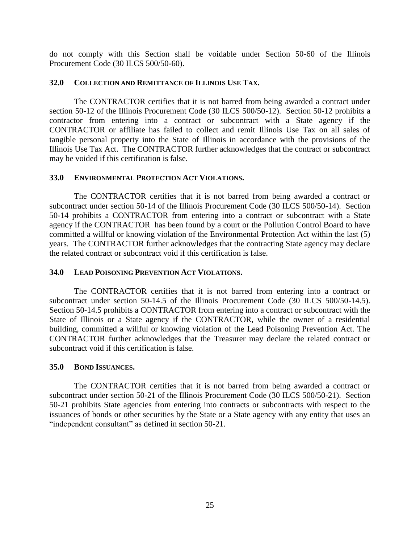do not comply with this Section shall be voidable under Section 50-60 of the Illinois Procurement Code (30 ILCS 500/50-60).

#### **32.0 COLLECTION AND REMITTANCE OF ILLINOIS USE TAX.**

The CONTRACTOR certifies that it is not barred from being awarded a contract under section 50-12 of the Illinois Procurement Code (30 ILCS 500/50-12). Section 50-12 prohibits a contractor from entering into a contract or subcontract with a State agency if the CONTRACTOR or affiliate has failed to collect and remit Illinois Use Tax on all sales of tangible personal property into the State of Illinois in accordance with the provisions of the Illinois Use Tax Act. The CONTRACTOR further acknowledges that the contract or subcontract may be voided if this certification is false.

#### **33.0 ENVIRONMENTAL PROTECTION ACT VIOLATIONS.**

The CONTRACTOR certifies that it is not barred from being awarded a contract or subcontract under section 50-14 of the Illinois Procurement Code (30 ILCS 500/50-14). Section 50-14 prohibits a CONTRACTOR from entering into a contract or subcontract with a State agency if the CONTRACTOR has been found by a court or the Pollution Control Board to have committed a willful or knowing violation of the Environmental Protection Act within the last (5) years. The CONTRACTOR further acknowledges that the contracting State agency may declare the related contract or subcontract void if this certification is false.

#### **34.0 LEAD POISONING PREVENTION ACT VIOLATIONS.**

The CONTRACTOR certifies that it is not barred from entering into a contract or subcontract under section 50-14.5 of the Illinois Procurement Code (30 ILCS 500/50-14.5). Section 50-14.5 prohibits a CONTRACTOR from entering into a contract or subcontract with the State of Illinois or a State agency if the CONTRACTOR, while the owner of a residential building, committed a willful or knowing violation of the Lead Poisoning Prevention Act. The CONTRACTOR further acknowledges that the Treasurer may declare the related contract or subcontract void if this certification is false.

#### **35.0 BOND ISSUANCES.**

The CONTRACTOR certifies that it is not barred from being awarded a contract or subcontract under section 50-21 of the Illinois Procurement Code (30 ILCS 500/50-21). Section 50-21 prohibits State agencies from entering into contracts or subcontracts with respect to the issuances of bonds or other securities by the State or a State agency with any entity that uses an "independent consultant" as defined in section 50-21.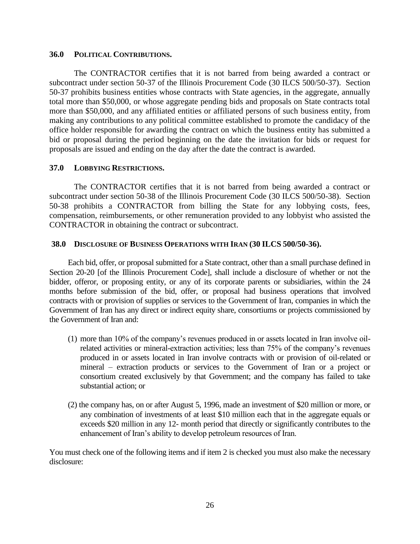#### **36.0 POLITICAL CONTRIBUTIONS.**

The CONTRACTOR certifies that it is not barred from being awarded a contract or subcontract under section 50-37 of the Illinois Procurement Code (30 ILCS 500/50-37). Section 50-37 prohibits business entities whose contracts with State agencies, in the aggregate, annually total more than \$50,000, or whose aggregate pending bids and proposals on State contracts total more than \$50,000, and any affiliated entities or affiliated persons of such business entity, from making any contributions to any political committee established to promote the candidacy of the office holder responsible for awarding the contract on which the business entity has submitted a bid or proposal during the period beginning on the date the invitation for bids or request for proposals are issued and ending on the day after the date the contract is awarded.

#### **37.0 LOBBYING RESTRICTIONS.**

The CONTRACTOR certifies that it is not barred from being awarded a contract or subcontract under section 50-38 of the Illinois Procurement Code (30 ILCS 500/50-38). Section 50-38 prohibits a CONTRACTOR from billing the State for any lobbying costs, fees, compensation, reimbursements, or other remuneration provided to any lobbyist who assisted the CONTRACTOR in obtaining the contract or subcontract.

#### **38.0 DISCLOSURE OF BUSINESS OPERATIONS WITH IRAN (30 ILCS 500/50-36).**

Each bid, offer, or proposal submitted for a State contract, other than a small purchase defined in Section 20-20 [of the Illinois Procurement Code], shall include a disclosure of whether or not the bidder, offeror, or proposing entity, or any of its corporate parents or subsidiaries, within the 24 months before submission of the bid, offer, or proposal had business operations that involved contracts with or provision of supplies or services to the Government of Iran, companies in which the Government of Iran has any direct or indirect equity share, consortiums or projects commissioned by the Government of Iran and:

- (1) more than 10% of the company's revenues produced in or assets located in Iran involve oilrelated activities or mineral-extraction activities; less than 75% of the company's revenues produced in or assets located in Iran involve contracts with or provision of oil-related or mineral – extraction products or services to the Government of Iran or a project or consortium created exclusively by that Government; and the company has failed to take substantial action; or
- (2) the company has, on or after August 5, 1996, made an investment of \$20 million or more, or any combination of investments of at least \$10 million each that in the aggregate equals or exceeds \$20 million in any 12- month period that directly or significantly contributes to the enhancement of Iran's ability to develop petroleum resources of Iran.

You must check one of the following items and if item 2 is checked you must also make the necessary disclosure: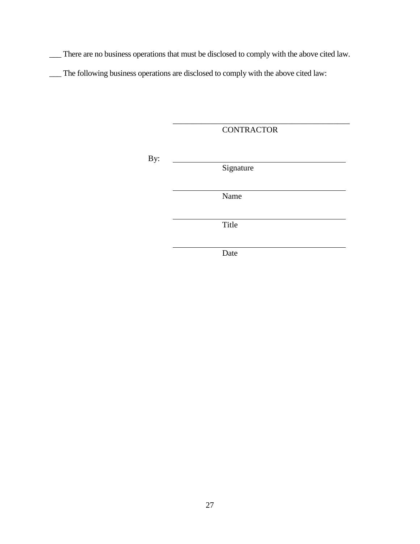\_\_\_ There are no business operations that must be disclosed to comply with the above cited law.

\_\_\_ The following business operations are disclosed to comply with the above cited law:

**CONTRACTOR** 

\_\_\_\_\_\_\_\_\_\_\_\_\_\_\_\_\_\_\_\_\_\_\_\_\_\_\_\_\_\_\_\_\_\_\_\_\_\_\_\_\_\_\_

i<br>L

By:

Signature

Name

Title

Date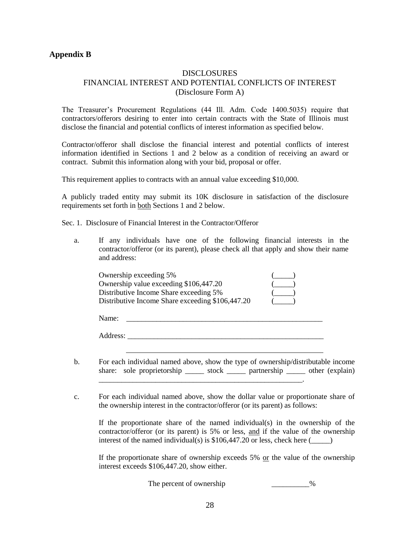#### <span id="page-27-0"></span>**Appendix B**

#### DISCLOSURES FINANCIAL INTEREST AND POTENTIAL CONFLICTS OF INTEREST (Disclosure Form A)

The Treasurer's Procurement Regulations (44 Ill. Adm. Code 1400.5035) require that contractors/offerors desiring to enter into certain contracts with the State of Illinois must disclose the financial and potential conflicts of interest information as specified below.

Contractor/offeror shall disclose the financial interest and potential conflicts of interest information identified in Sections 1 and 2 below as a condition of receiving an award or contract. Submit this information along with your bid, proposal or offer.

This requirement applies to contracts with an annual value exceeding \$10,000.

A publicly traded entity may submit its 10K disclosure in satisfaction of the disclosure requirements set forth in both Sections 1 and 2 below.

Sec. 1. Disclosure of Financial Interest in the Contractor/Offeror

a. If any individuals have one of the following financial interests in the contractor/offeror (or its parent), please check all that apply and show their name and address:

| Ownership exceeding 5%                           |  |
|--------------------------------------------------|--|
| Ownership value exceeding \$106,447.20           |  |
| Distributive Income Share exceeding 5%           |  |
| Distributive Income Share exceeding \$106,447.20 |  |

| Name: |  |
|-------|--|
|       |  |

Address: \_\_\_\_\_\_\_\_\_\_\_\_\_\_\_\_\_\_\_\_\_\_\_\_\_\_\_\_\_\_\_\_\_\_\_\_\_\_\_\_\_\_\_\_\_\_\_\_\_\_\_\_

- b. For each individual named above, show the type of ownership/distributable income share: sole proprietorship \_\_\_\_\_\_ stock \_\_\_\_\_\_ partnership \_\_\_\_\_ other (explain)
- c. For each individual named above, show the dollar value or proportionate share of the ownership interest in the contractor/offeror (or its parent) as follows:

If the proportionate share of the named individual(s) in the ownership of the contractor/offeror (or its parent) is 5% or less, and if the value of the ownership interest of the named individual(s) is  $$106,447.20$  or less, check here ( $\qquad \qquad$ )

If the proportionate share of ownership exceeds 5% or the value of the ownership interest exceeds \$106,447.20, show either.

The percent of ownership \_\_\_\_\_\_\_\_\_\_\_\_%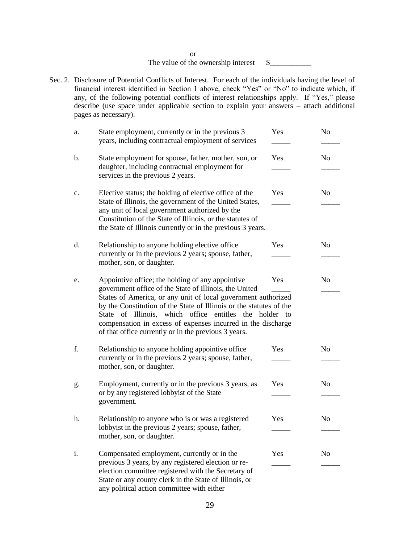or The value of the ownership interest  $\quad \quad \text{\&} \quad \quad \text{\&}$ 

Sec. 2. Disclosure of Potential Conflicts of Interest. For each of the individuals having the level of financial interest identified in Section 1 above, check "Yes" or "No" to indicate which, if any, of the following potential conflicts of interest relationships apply. If "Yes," please describe (use space under applicable section to explain your answers – attach additional pages as necessary).

| a.             | State employment, currently or in the previous 3<br>years, including contractual employment of services                                                                                                                                                                                                                                                                                                                              | Yes | N <sub>0</sub> |
|----------------|--------------------------------------------------------------------------------------------------------------------------------------------------------------------------------------------------------------------------------------------------------------------------------------------------------------------------------------------------------------------------------------------------------------------------------------|-----|----------------|
| b.             | State employment for spouse, father, mother, son, or<br>daughter, including contractual employment for<br>services in the previous 2 years.                                                                                                                                                                                                                                                                                          | Yes | N <sub>o</sub> |
| $\mathbf{c}$ . | Elective status; the holding of elective office of the<br>State of Illinois, the government of the United States,<br>any unit of local government authorized by the<br>Constitution of the State of Illinois, or the statutes of<br>the State of Illinois currently or in the previous 3 years.                                                                                                                                      | Yes | N <sub>0</sub> |
| d.             | Relationship to anyone holding elective office<br>currently or in the previous 2 years; spouse, father,<br>mother, son, or daughter.                                                                                                                                                                                                                                                                                                 | Yes | N <sub>o</sub> |
| e.             | Appointive office; the holding of any appointive<br>government office of the State of Illinois, the United<br>States of America, or any unit of local government authorized<br>by the Constitution of the State of Illinois or the statutes of the<br>State of Illinois, which office entitles the holder to<br>compensation in excess of expenses incurred in the discharge<br>of that office currently or in the previous 3 years. | Yes | N <sub>o</sub> |
| f.             | Relationship to anyone holding appointive office<br>currently or in the previous 2 years; spouse, father,<br>mother, son, or daughter.                                                                                                                                                                                                                                                                                               | Yes | N <sub>o</sub> |
| g.             | Employment, currently or in the previous 3 years, as<br>or by any registered lobbyist of the State<br>government.                                                                                                                                                                                                                                                                                                                    | Yes | N <sub>o</sub> |
| h.             | Relationship to anyone who is or was a registered<br>lobbyist in the previous 2 years; spouse, father,<br>mother, son, or daughter.                                                                                                                                                                                                                                                                                                  | Yes | N <sub>o</sub> |
| i.             | Compensated employment, currently or in the<br>previous 3 years, by any registered election or re-<br>election committee registered with the Secretary of<br>State or any county clerk in the State of Illinois, or<br>any political action committee with either                                                                                                                                                                    | Yes | No             |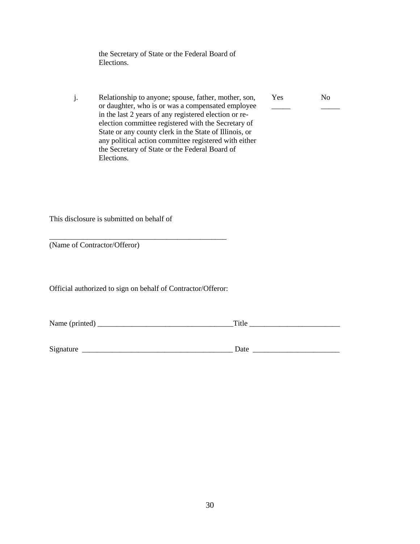the Secretary of State or the Federal Board of Elections.

j. Relationship to anyone; spouse, father, mother, son, Yes No or daughter, who is or was a compensated employee \_\_\_\_\_\_ in the last 2 years of any registered election or reelection committee registered with the Secretary of State or any county clerk in the State of Illinois, or any political action committee registered with either the Secretary of State or the Federal Board of Elections.

This disclosure is submitted on behalf of

(Name of Contractor/Offeror)

Official authorized to sign on behalf of Contractor/Offeror:

\_\_\_\_\_\_\_\_\_\_\_\_\_\_\_\_\_\_\_\_\_\_\_\_\_\_\_\_\_\_\_\_\_\_\_\_\_\_\_\_\_\_\_\_\_\_\_

Name (printed) \_\_\_\_\_\_\_\_\_\_\_\_\_\_\_\_\_\_\_\_\_\_\_\_\_\_\_\_\_\_\_\_\_\_\_\_Title \_\_\_\_\_\_\_\_\_\_\_\_\_\_\_\_\_\_\_\_\_\_\_\_

| $\sim$<br>512<br>. | и<br>$\ddotsc$<br>- |  |
|--------------------|---------------------|--|
|                    |                     |  |